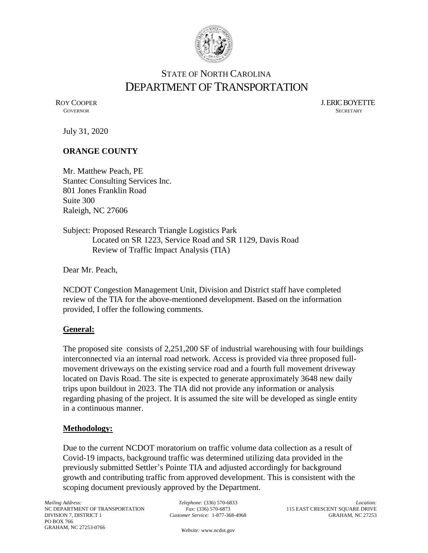

# STATE OF NORTH CAROLINA DEPARTMENT OF TRANSPORTATION

ROY COOPER J. ERIC BOYETTE GOVERNOR SECRETARY **GOVERNOR** SECRETARY

July 31, 2020

## **ORANGE COUNTY**

Mr. Matthew Peach, PE Stantec Consulting Services Inc. 801 Jones Franklin Road Suite 300 Raleigh, NC 27606

Subject: Proposed Research Triangle Logistics Park Located on SR 1223, Service Road and SR 1129, Davis Road Review of Traffic Impact Analysis (TIA)

Dear Mr. Peach,

NCDOT Congestion Management Unit, Division and District staff have completed review of the TIA for the above-mentioned development. Based on the information provided, I offer the following comments.

#### **General:**

The proposed site consists of 2,251,200 SF of industrial warehousing with four buildings interconnected via an internal road network. Access is provided via three proposed fullmovement driveways on the existing service road and a fourth full movement driveway located on Davis Road. The site is expected to generate approximately 3648 new daily trips upon buildout in 2023. The TIA did not provide any information or analysis regarding phasing of the project. It is assumed the site will be developed as single entity in a continuous manner.

#### **Methodology:**

Due to the current NCDOT moratorium on traffic volume data collection as a result of Covid-19 impacts, background traffic was determined utilizing data provided in the previously submitted Settler's Pointe TIA and adjusted accordingly for background growth and contributing traffic from approved development. This is consistent with the scoping document previously approved by the Department.

*Mailing Address:* NC DEPARTMENT OF TRANSPORTATION DIVISION 7, DISTRICT 1 PO BOX 766 GRAHAM, NC 27253-0766

*Telephone:* (336) 570-6833 *Fax:* (336) 570-6873 *Customer Service:* 1-877-368-4968

*Location:* 115 EAST CRESCENT SQUARE DRIVE GRAHAM, NC 27253

*Website:* [www.ncdot.gov](http://www.ncdot.gov/)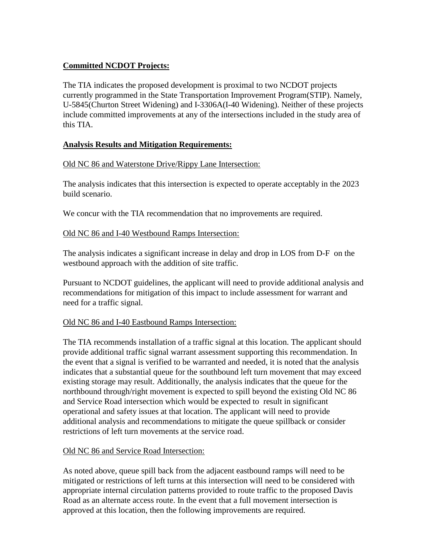# **Committed NCDOT Projects:**

The TIA indicates the proposed development is proximal to two NCDOT projects currently programmed in the State Transportation Improvement Program(STIP). Namely, U-5845(Churton Street Widening) and I-3306A(I-40 Widening). Neither of these projects include committed improvements at any of the intersections included in the study area of this TIA.

# **Analysis Results and Mitigation Requirements:**

## Old NC 86 and Waterstone Drive/Rippy Lane Intersection:

The analysis indicates that this intersection is expected to operate acceptably in the 2023 build scenario.

We concur with the TIA recommendation that no improvements are required.

## Old NC 86 and I-40 Westbound Ramps Intersection:

The analysis indicates a significant increase in delay and drop in LOS from D-F on the westbound approach with the addition of site traffic.

Pursuant to NCDOT guidelines, the applicant will need to provide additional analysis and recommendations for mitigation of this impact to include assessment for warrant and need for a traffic signal.

#### Old NC 86 and I-40 Eastbound Ramps Intersection:

The TIA recommends installation of a traffic signal at this location. The applicant should provide additional traffic signal warrant assessment supporting this recommendation. In the event that a signal is verified to be warranted and needed, it is noted that the analysis indicates that a substantial queue for the southbound left turn movement that may exceed existing storage may result. Additionally, the analysis indicates that the queue for the northbound through/right movement is expected to spill beyond the existing Old NC 86 and Service Road intersection which would be expected to result in significant operational and safety issues at that location. The applicant will need to provide additional analysis and recommendations to mitigate the queue spillback or consider restrictions of left turn movements at the service road.

#### Old NC 86 and Service Road Intersection:

As noted above, queue spill back from the adjacent eastbound ramps will need to be mitigated or restrictions of left turns at this intersection will need to be considered with appropriate internal circulation patterns provided to route traffic to the proposed Davis Road as an alternate access route. In the event that a full movement intersection is approved at this location, then the following improvements are required.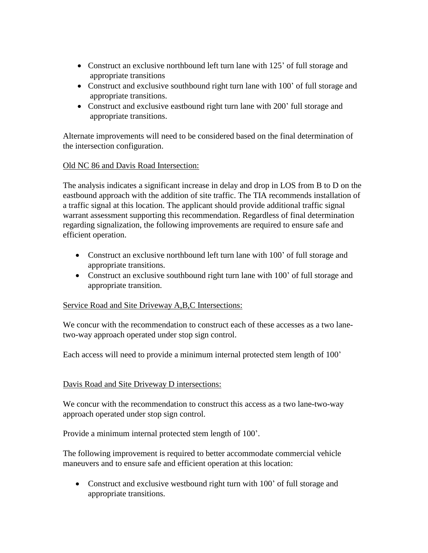- Construct an exclusive northbound left turn lane with 125' of full storage and appropriate transitions
- Construct and exclusive southbound right turn lane with 100' of full storage and appropriate transitions.
- Construct and exclusive eastbound right turn lane with 200' full storage and appropriate transitions.

Alternate improvements will need to be considered based on the final determination of the intersection configuration.

# Old NC 86 and Davis Road Intersection:

The analysis indicates a significant increase in delay and drop in LOS from B to D on the eastbound approach with the addition of site traffic. The TIA recommends installation of a traffic signal at this location. The applicant should provide additional traffic signal warrant assessment supporting this recommendation. Regardless of final determination regarding signalization, the following improvements are required to ensure safe and efficient operation.

- Construct an exclusive northbound left turn lane with 100' of full storage and appropriate transitions.
- Construct an exclusive southbound right turn lane with 100' of full storage and appropriate transition.

# Service Road and Site Driveway A,B,C Intersections:

We concur with the recommendation to construct each of these accesses as a two lanetwo-way approach operated under stop sign control.

Each access will need to provide a minimum internal protected stem length of 100'

# Davis Road and Site Driveway D intersections:

We concur with the recommendation to construct this access as a two lane-two-way approach operated under stop sign control.

Provide a minimum internal protected stem length of 100'.

The following improvement is required to better accommodate commercial vehicle maneuvers and to ensure safe and efficient operation at this location:

• Construct and exclusive westbound right turn with 100' of full storage and appropriate transitions.